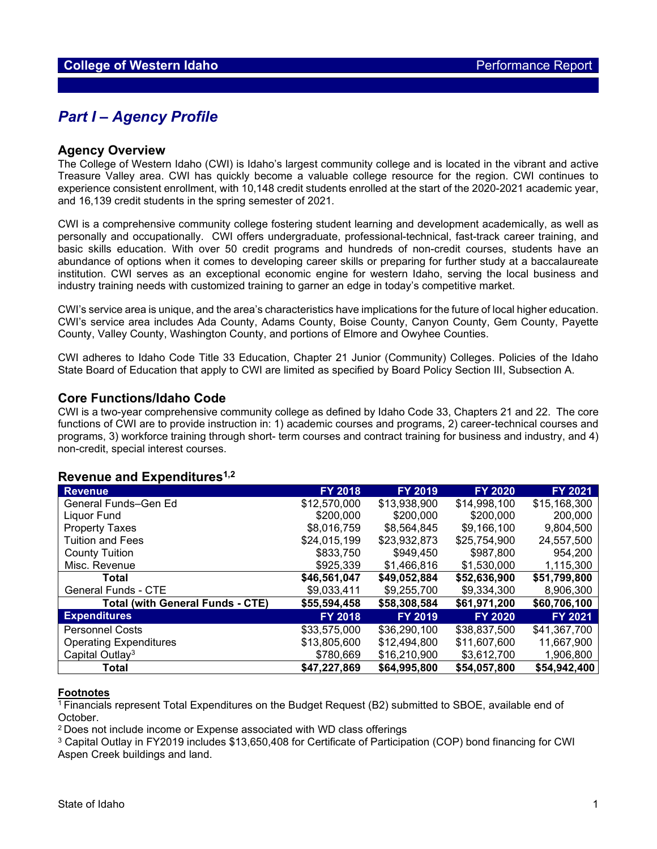## *Part I – Agency Profile*

#### **Agency Overview**

The College of Western Idaho (CWI) is Idaho's largest community college and is located in the vibrant and active Treasure Valley area. CWI has quickly become a valuable college resource for the region. CWI continues to experience consistent enrollment, with 10,148 credit students enrolled at the start of the 2020-2021 academic year, and 16,139 credit students in the spring semester of 2021.

CWI is a comprehensive community college fostering student learning and development academically, as well as personally and occupationally. CWI offers undergraduate, professional-technical, fast-track career training, and basic skills education. With over 50 credit programs and hundreds of non-credit courses, students have an abundance of options when it comes to developing career skills or preparing for further study at a baccalaureate institution. CWI serves as an exceptional economic engine for western Idaho, serving the local business and industry training needs with customized training to garner an edge in today's competitive market.

CWI's service area is unique, and the area's characteristics have implications for the future of local higher education. CWI's service area includes Ada County, Adams County, Boise County, Canyon County, Gem County, Payette County, Valley County, Washington County, and portions of Elmore and Owyhee Counties.

CWI adheres to Idaho Code Title 33 Education, Chapter 21 Junior (Community) Colleges. Policies of the Idaho State Board of Education that apply to CWI are limited as specified by Board Policy Section III, Subsection A.

#### **Core Functions/Idaho Code**

CWI is a two-year comprehensive community college as defined by Idaho Code 33, Chapters 21 and 22. The core functions of CWI are to provide instruction in: 1) academic courses and programs, 2) career-technical courses and programs, 3) workforce training through short- term courses and contract training for business and industry, and 4) non-credit, special interest courses.

#### **Revenue and Expenditures1,2**

| <b>Revenue</b>                          | <b>FY 2018</b> | <b>FY 2019</b> | <b>FY 2020</b> | FY 2021      |
|-----------------------------------------|----------------|----------------|----------------|--------------|
| General Funds-Gen Ed                    | \$12,570,000   | \$13.938.900   | \$14.998.100   | \$15,168,300 |
| Liquor Fund                             | \$200,000      | \$200,000      | \$200,000      | 200,000      |
| <b>Property Taxes</b>                   | \$8,016,759    | \$8,564,845    | \$9,166,100    | 9,804,500    |
| <b>Tuition and Fees</b>                 | \$24,015,199   | \$23,932,873   | \$25,754,900   | 24,557,500   |
| <b>County Tuition</b>                   | \$833,750      | \$949,450      | \$987,800      | 954,200      |
| Misc. Revenue                           | \$925,339      | \$1,466,816    | \$1,530,000    | 1,115,300    |
| Total                                   | \$46,561,047   | \$49,052,884   | \$52,636,900   | \$51,799,800 |
| General Funds - CTE                     | \$9,033,411    | \$9,255,700    | \$9,334,300    | 8,906,300    |
| <b>Total (with General Funds - CTE)</b> | \$55,594,458   | \$58,308,584   | \$61,971,200   | \$60,706,100 |
| <b>Expenditures</b>                     | <b>FY 2018</b> | <b>FY 2019</b> | <b>FY 2020</b> | FY 2021      |
| <b>Personnel Costs</b>                  | \$33,575,000   | \$36,290,100   | \$38,837,500   | \$41,367,700 |
| <b>Operating Expenditures</b>           | \$13,805,600   | \$12,494,800   | \$11,607,600   | 11,667,900   |
| Capital Outlay <sup>3</sup>             | \$780,669      | \$16,210,900   | \$3,612,700    | 1,906,800    |
| Total                                   | \$47,227,869   | \$64,995,800   | \$54,057,800   | \$54,942,400 |

#### **Footnotes**

<sup>1</sup> Financials represent Total Expenditures on the Budget Request (B2) submitted to SBOE, available end of October.

<sup>2</sup> Does not include income or Expense associated with WD class offerings

<sup>3</sup> Capital Outlay in FY2019 includes \$13,650,408 for Certificate of Participation (COP) bond financing for CWI Aspen Creek buildings and land.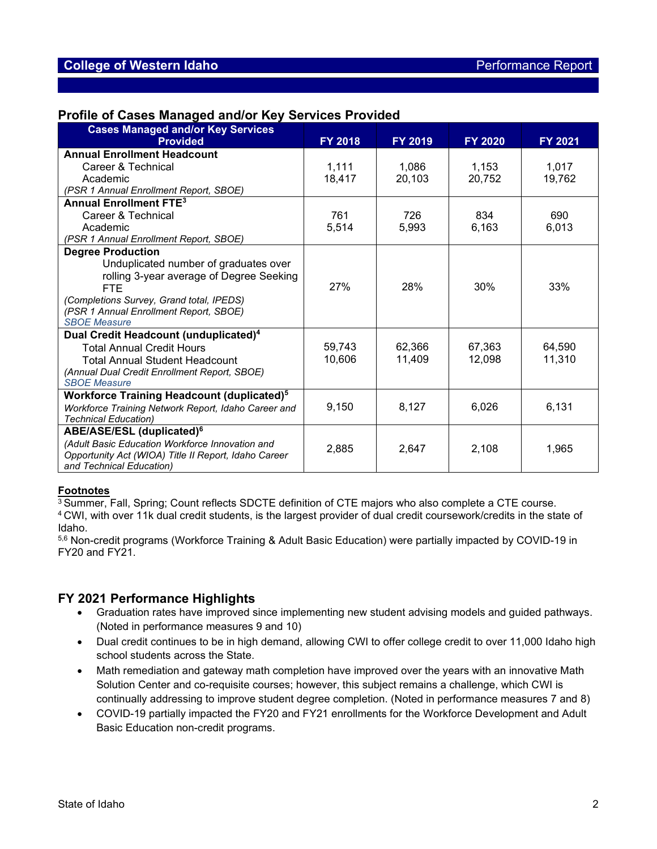### **Profile of Cases Managed and/or Key Services Provided**

| <b>Cases Managed and/or Key Services</b><br><b>Provided</b>  | <b>FY 2018</b> | <b>FY 2019</b> | <b>FY 2020</b> | <b>FY 2021</b> |
|--------------------------------------------------------------|----------------|----------------|----------------|----------------|
| <b>Annual Enrollment Headcount</b>                           |                |                |                |                |
| Career & Technical                                           | 1,111          | 1.086          | 1.153          | 1.017          |
| Academic                                                     | 18,417         | 20,103         | 20,752         | 19,762         |
| (PSR 1 Annual Enrollment Report, SBOE)                       |                |                |                |                |
| <b>Annual Enrollment FTE3</b>                                |                |                |                |                |
| Career & Technical                                           | 761            | 726            | 834            | 690            |
| Academic                                                     | 5.514          | 5.993          | 6.163          | 6,013          |
| (PSR 1 Annual Enrollment Report, SBOE)                       |                |                |                |                |
| <b>Degree Production</b>                                     |                |                |                |                |
| Unduplicated number of graduates over                        |                |                |                |                |
| rolling 3-year average of Degree Seeking                     |                |                |                |                |
| FTE                                                          | 27%            | 28%            | 30%            | 33%            |
| (Completions Survey, Grand total, IPEDS)                     |                |                |                |                |
| (PSR 1 Annual Enrollment Report, SBOE)                       |                |                |                |                |
| <b>SBOE Measure</b>                                          |                |                |                |                |
| Dual Credit Headcount (unduplicated) <sup>4</sup>            |                |                |                |                |
| <b>Total Annual Credit Hours</b>                             | 59,743         | 62,366         | 67,363         | 64,590         |
| <b>Total Annual Student Headcount</b>                        | 10.606         | 11.409         | 12.098         | 11.310         |
| (Annual Dual Credit Enrollment Report, SBOE)                 |                |                |                |                |
| <b>SBOE Measure</b>                                          |                |                |                |                |
| <b>Workforce Training Headcount (duplicated)<sup>5</sup></b> |                |                |                |                |
| Workforce Training Network Report, Idaho Career and          | 9,150          | 8,127          | 6,026          | 6,131          |
| <b>Technical Education)</b>                                  |                |                |                |                |
| ABE/ASE/ESL (duplicated) <sup>6</sup>                        |                |                |                |                |
| (Adult Basic Education Workforce Innovation and              | 2.885          | 2,647          | 2,108          | 1.965          |
| Opportunity Act (WIOA) Title II Report, Idaho Career         |                |                |                |                |
| and Technical Education)                                     |                |                |                |                |

#### **Footnotes**

<sup>3</sup> Summer, Fall, Spring; Count reflects SDCTE definition of CTE majors who also complete a CTE course. <sup>4</sup> CWI, with over 11k dual credit students, is the largest provider of dual credit coursework/credits in the state of

Idaho.

5,6 Non-credit programs (Workforce Training & Adult Basic Education) were partially impacted by COVID-19 in FY20 and FY21.

### **FY 2021 Performance Highlights**

- Graduation rates have improved since implementing new student advising models and guided pathways. (Noted in performance measures 9 and 10)
- Dual credit continues to be in high demand, allowing CWI to offer college credit to over 11,000 Idaho high school students across the State.
- Math remediation and gateway math completion have improved over the years with an innovative Math Solution Center and co-requisite courses; however, this subject remains a challenge, which CWI is continually addressing to improve student degree completion. (Noted in performance measures 7 and 8)
- COVID-19 partially impacted the FY20 and FY21 enrollments for the Workforce Development and Adult Basic Education non-credit programs.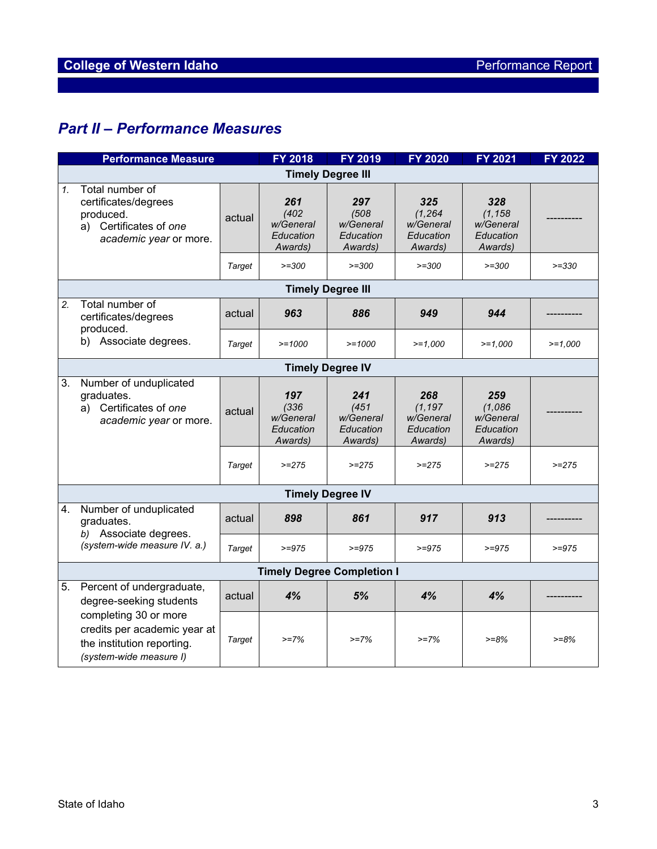## *Part II – Performance Measures*

|    | <b>Performance Measure</b>                                                                                                                                             |        | <b>FY 2018</b>                                    | FY 2019                                           | <b>FY 2020</b>                                       | <b>FY 2021</b>                                       | FY 2022   |
|----|------------------------------------------------------------------------------------------------------------------------------------------------------------------------|--------|---------------------------------------------------|---------------------------------------------------|------------------------------------------------------|------------------------------------------------------|-----------|
|    | <b>Timely Degree III</b>                                                                                                                                               |        |                                                   |                                                   |                                                      |                                                      |           |
| 1. | Total number of<br>certificates/degrees<br>produced.<br>a) Certificates of one<br>academic year or more.                                                               | actual | 261<br>(402)<br>w/General<br>Education<br>Awards) | 297<br>(508)<br>w/General<br>Education<br>Awards) | 325<br>(1, 264)<br>w/General<br>Education<br>Awards) | 328<br>(1, 158)<br>w/General<br>Education<br>Awards) |           |
|    |                                                                                                                                                                        | Target | $>=300$                                           | $>=300$                                           | $>=300$                                              | $>=300$                                              | $>=330$   |
|    |                                                                                                                                                                        |        |                                                   | <b>Timely Degree III</b>                          |                                                      |                                                      |           |
| 2. | Total number of<br>certificates/degrees<br>produced.                                                                                                                   | actual | 963                                               | 886                                               | 949                                                  | 944                                                  |           |
|    | b) Associate degrees.                                                                                                                                                  | Target | $>=1000$                                          | $>=1000$                                          | $>=1,000$                                            | $>=1,000$                                            | $>=1,000$ |
|    |                                                                                                                                                                        |        |                                                   | <b>Timely Degree IV</b>                           |                                                      |                                                      |           |
| 3. | Number of unduplicated<br>graduates.<br>Certificates of one<br>a)<br>academic year or more.                                                                            | actual | 197<br>(336)<br>w/General<br>Education<br>Awards) | 241<br>(451)<br>w/General<br>Education<br>Awards) | 268<br>(1, 197)<br>w/General<br>Education<br>Awards) | 259<br>(1,086)<br>w/General<br>Education<br>Awards)  |           |
|    |                                                                                                                                                                        | Target | $>=275$                                           | $>=275$                                           | $>=275$                                              | $>=275$                                              | $>=275$   |
|    |                                                                                                                                                                        |        |                                                   | <b>Timely Degree IV</b>                           |                                                      |                                                      |           |
| 4. | Number of unduplicated<br>graduates.<br>b) Associate degrees.                                                                                                          | actual | 898                                               | 861                                               | 917                                                  | 913                                                  |           |
|    | (system-wide measure IV. a.)                                                                                                                                           | Target | $>=975$                                           | $>=975$                                           | $>= 975$                                             | $>= 975$                                             | $>= 975$  |
|    | <b>Timely Degree Completion I</b>                                                                                                                                      |        |                                                   |                                                   |                                                      |                                                      |           |
| 5. | Percent of undergraduate,<br>degree-seeking students<br>completing 30 or more<br>credits per academic year at<br>the institution reporting.<br>(system-wide measure I) | actual | 4%                                                | 5%                                                | 4%                                                   | 4%                                                   |           |
|    |                                                                                                                                                                        | Target | $>=7%$                                            | $>=7%$                                            | $>=7%$                                               | $>= 8%$                                              | $>= 8%$   |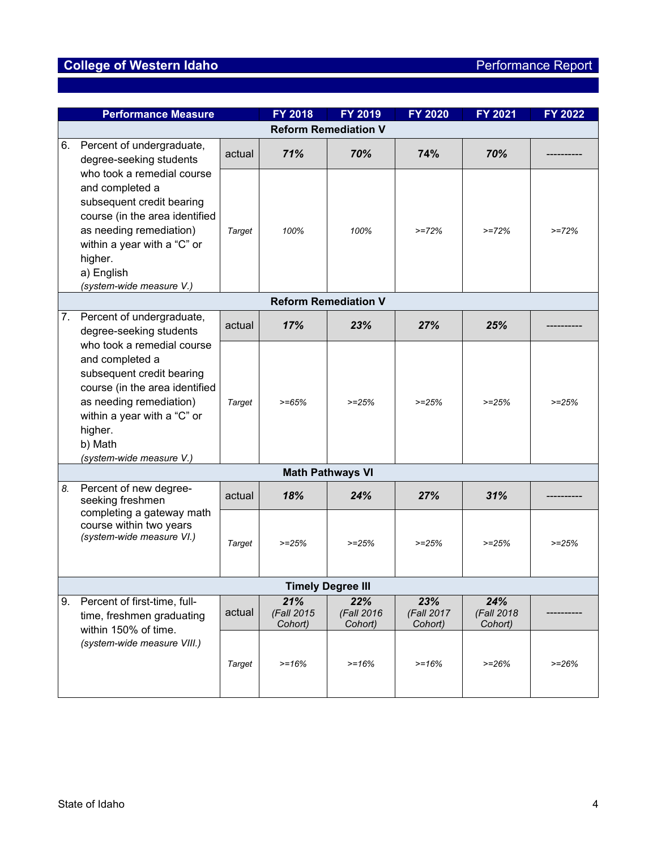# **College of Western Idaho Performance Report**

|    | <b>Performance Measure</b>                                                                                                                                                                                                                                                       |        | <b>FY 2018</b>               | <b>FY 2019</b>               | FY 2020                      | <b>FY 2021</b>                | FY 2022 |  |
|----|----------------------------------------------------------------------------------------------------------------------------------------------------------------------------------------------------------------------------------------------------------------------------------|--------|------------------------------|------------------------------|------------------------------|-------------------------------|---------|--|
|    | <b>Reform Remediation V</b>                                                                                                                                                                                                                                                      |        |                              |                              |                              |                               |         |  |
| 6. | Percent of undergraduate,<br>degree-seeking students                                                                                                                                                                                                                             | actual | 71%                          | 70%                          | 74%                          | 70%                           |         |  |
|    | who took a remedial course<br>and completed a<br>subsequent credit bearing<br>course (in the area identified<br>as needing remediation)<br>within a year with a "C" or<br>higher.<br>a) English<br>(system-wide measure V.)                                                      | Target | 100%                         | 100%                         | $>=72%$                      | $>=72%$                       | $>=72%$ |  |
|    |                                                                                                                                                                                                                                                                                  |        |                              | <b>Reform Remediation V</b>  |                              |                               |         |  |
| 7. | Percent of undergraduate,<br>degree-seeking students<br>who took a remedial course<br>and completed a<br>subsequent credit bearing<br>course (in the area identified<br>as needing remediation)<br>within a year with a "C" or<br>higher.<br>b) Math<br>(system-wide measure V.) | actual | 17%                          | 23%                          | 27%                          | 25%                           |         |  |
|    |                                                                                                                                                                                                                                                                                  | Target | $>= 65%$                     | $>=25%$                      | $>=25%$                      | $>=25%$                       | $>=25%$ |  |
|    |                                                                                                                                                                                                                                                                                  |        |                              | <b>Math Pathways VI</b>      |                              |                               |         |  |
| 8. | Percent of new degree-<br>seeking freshmen                                                                                                                                                                                                                                       | actual | 18%                          | 24%                          | 27%                          | 31%                           |         |  |
|    | completing a gateway math<br>course within two years<br>(system-wide measure VI.)                                                                                                                                                                                                | Target | $>=25%$                      | $>=25%$                      | $>=25%$                      | $>=25%$                       | $>=25%$ |  |
|    | <b>Timely Degree III</b>                                                                                                                                                                                                                                                         |        |                              |                              |                              |                               |         |  |
| 9. | Percent of first-time, full-<br>time, freshmen graduating<br>within 150% of time.<br>(system-wide measure VIII.)                                                                                                                                                                 | actual | 21%<br>(Fall 2015<br>Cohort) | 22%<br>(Fall 2016<br>Cohort) | 23%<br>(Fall 2017<br>Cohort) | 24%<br>(Fall 2018)<br>Cohort) |         |  |
|    |                                                                                                                                                                                                                                                                                  | Target | $>= 16%$                     | $>= 16%$                     | $>=16%$                      | $>=26%$                       | $>=26%$ |  |